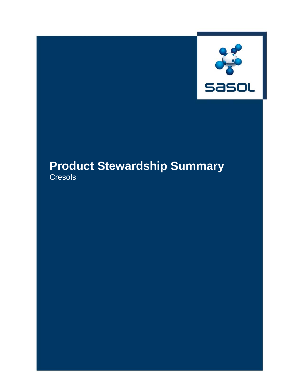

# **Product Stewardship Summary Cresols**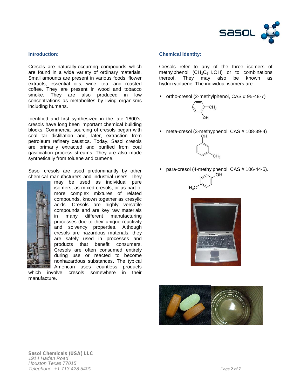

#### **Introduction:**

Cresols are naturally-occurring compounds which are found in a wide variety of ordinary materials. Small amounts are present in various foods, flower extracts, essential oils, wine, tea, and roasted coffee. They are present in wood and tobacco smoke. They are also produced in low concentrations as metabolites by living organisms including humans.

Identified and first synthesized in the late 1800's, cresols have long been important chemical building blocks. Commercial sourcing of cresols began with coal tar distillation and, later, extraction from petroleum refinery caustics. Today, Sasol cresols are primarily extracted and purified from coal gasification process streams. They are also made synthetically from toluene and cumene.

Sasol cresols are used predominantly by other chemical manufacturers and industrial users. They



may be used as individual pure isomers, as mixed cresols, or as part of more complex mixtures of related compounds, known together as cresylic acids. Cresols are highly versatile compounds and are key raw materials in many different manufacturing processes due to their unique reactivity and solvency properties. Although cresols are hazardous materials, they are safely used in processes and products that benefit consumers. Cresols are often consumed entirely during use or reacted to become nonhazardous substances. The typical American uses countless products<br>olve cresols somewhere in their

which involve cresols somewhere manufacture.

#### **Chemical Identity:**

Cresols refer to any of the three isomers of methylphenol ( $CH_3C_6H_4OH$ ) or to combinations<br>thereof. They may also be known as thereof. They may also be hydroxytoluene. The individual isomers are:

• ortho-cresol (2-methylphenol, CAS # 95-48-7)



meta-cresol (3-methyphenol, CAS # 108-39-4)



para-cresol (4-methylphenol, CAS # 106-44-5).





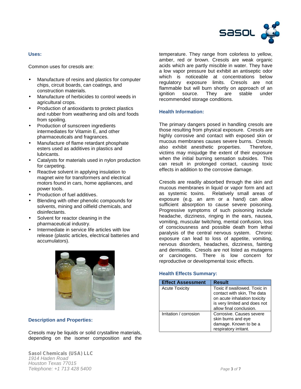

# **Uses:**

Common uses for cresols are:

- Manufacture of resins and plastics for computer chips, circuit boards, can coatings, and construction materials.
- Manufacture of herbicides to control weeds in agricultural crops.
- Production of antioxidants to protect plastics and rubber from weathering and oils and foods from spoiling.
- Production of sunscreen ingredients intermediates for Vitamin E, and other pharmaceuticals and fragrances.
- Manufacture of flame retardant phosphate esters used as additives in plastics and lubricants.
- Catalysts for materials used in nylon production for carpeting.
- Reactive solvent in applying insulation to magnet wire for transformers and electrical motors found in cars, home appliances, and power tools.
- Production of fuel additives.
- Blending with other phenolic compounds for solvents, mining and oilfield chemicals, and disinfectants.
- Solvent for reactor cleaning in the pharmaceutical industry.
- Intermediate in service life articles with low release (plastic articles, electrical batteries and accumulators).



# **Description and Properties:**

Cresols may be liquids or solid crystalline materials, depending on the isomer composition and the

*Sasol Chemicals (USA) LLC 1914 Haden Road Houston Texas 77015 Telephone: +1 713 428 5400 Page 3 of 7*

temperature. They range from colorless to yellow, amber, red or brown. Cresols are weak organic acids which are partly miscible in water. They have a low vapor pressure but exhibit an antiseptic odor which is noticeable at concentrations below regulatory exposure limits. Cresols are not flammable but will burn shortly on approach of an ignition source. They are stable under recommended storage conditions.

# **Health Information:**

The primary dangers posed in handling cresols are those resulting from physical exposure. Cresols are highly corrosive and contact with exposed skin or mucous membranes causes severe burns. Cresols also exhibit anesthetic properties. Therefore, victims may misjudge the extent of their exposure when the initial burning sensation subsides. This can result in prolonged contact, causing toxic effects in addition to the corrosive damage.

Cresols are readily absorbed through the skin and mucous membranes in liquid or vapor form and act<br>as systemic toxins. Relatively small areas of Relatively small areas of exposure (e.g. an arm or a hand) can allow sufficient absorption to cause severe poisoning. Progressive symptoms of such poisoning include headache, dizziness, ringing in the ears, nausea, vomiting, muscular twitching, mental confusion, loss of consciousness and possible death from lethal paralysis of the central nervous system. Chronic exposure can lead to loss of appetite, vomiting, nervous disorders, headaches, dizziness, fainting and dermatitis. Cresols are not listed as mutagens or carcinogens. There is low concern for reproductive or developmental toxic effects.

# **Health Effects Summary:**

| <b>Effect Assessment</b> | Result                                                                                                                      |
|--------------------------|-----------------------------------------------------------------------------------------------------------------------------|
| <b>Acute Toxicity</b>    | Toxic if swallowed. Toxic in<br>contact with skin, The data<br>on acute inhalation toxicity<br>is very limited and does not |
|                          | allow final conclusion.                                                                                                     |
| Irritation / corrosion   | Corrosive. Causes severe                                                                                                    |
|                          | skin burns and eye                                                                                                          |
|                          | damage. Known to be a                                                                                                       |
|                          | respiratory irritant.                                                                                                       |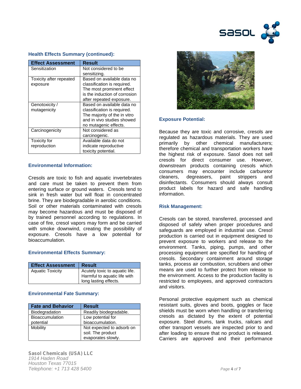

| <b>Effect Assessment</b> | Result                        |
|--------------------------|-------------------------------|
| Sensitization            | Not considered to be          |
|                          | sensitizing.                  |
| Toxicity after repeated  | Based on available data no    |
| exposure                 | classification is required.   |
|                          | The most prominent effect     |
|                          | is the induction of corrosion |
|                          | after repeated exposure.      |
| Genotoxicity /           | Based on available data no    |
| mutagenicity             | classification is required.   |
|                          | The majority of the in vitro  |
|                          | and in vivo studies showed    |
|                          | no mutagenic effects.         |
| Carcinogenicity          | Not considered as             |
|                          | carcinogenic.                 |
| Toxicity for             | Available data do not         |
| reproduction             | indicate reproductive         |
|                          | toxicity potential.           |

# **Health Effects Summary (continued):**

# **Environmental Information:**

Cresols are toxic to fish and aquatic invertebrates and care must be taken to prevent them from entering surface or ground waters. Cresols tend to sink in fresh water but will float in concentrated brine. They are biodegradable in aerobic conditions. Soil or other materials contaminated with cresols may become hazardous and must be disposed of by trained personnel according to regulations. In case of fire, cresol vapors may form and be carried with smoke downwind, creating the possibility of exposure. Cresols have a low potential for bioaccumulation.

# **Environmental Effects Summary:**

| <b>Effect Assessment</b> | <b>Result</b>                                                                           |
|--------------------------|-----------------------------------------------------------------------------------------|
| <b>Aquatic Toxicity</b>  | Acutely toxic to aquatic life.<br>Harmful to aquatic life with<br>long lasting effects. |

# **Environmental Fate Summary:**

| <b>Fate and Behavior</b> | <b>Result</b>             |
|--------------------------|---------------------------|
| Biodegradation           | Readily biodegradable.    |
| <b>Bioaccumulation</b>   | Low potential for         |
| potential                | bioaccumulation.          |
| Mobility                 | Not expected to adsorb on |
|                          | soil. The product         |
|                          | evaporates slowly.        |



# **Exposure Potential:**

Because they are toxic and corrosive, cresols are regulated as hazardous materials. They are used primarily by other chemical manufacturers; therefore chemical and transportation workers have the highest risk of exposure. Sasol does not sell cresols for direct consumer use. However, downstream products containing cresols which consumers may encounter include carburetor degreasers, paint strippers and disinfectants. Consumers should always consult product labels for hazard and safe handling information.

#### **Risk Management:**

Cresols can be stored, transferred, processed and disposed of safely when proper procedures and safeguards are employed in industrial use. Cresol production is carried out in equipment designed to prevent exposure to workers and release to the environment. Tanks, piping, pumps, and other processing equipment are specified for handling of cresols. Secondary containment around storage tanks, process air combustion, scrubbers and other means are used to further protect from release to the environment. Access to the production facility is restricted to employees, and approved contractors and visitors.

Personal protective equipment such as chemical resistant suits, gloves and boots, goggles or face shields must be worn when handling or transferring cresols as dictated by the extent of potential exposure. Steel drums, tank trucks, railcars and other transport vessels are inspected prior to and after loading to ensure that no product is released. Carriers are approved and their performance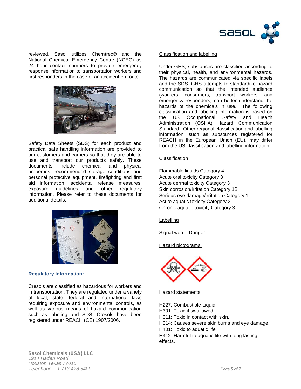

reviewed. Sasol utilizes Chemtrec® and the National Chemical Emergency Centre (NCEC) as 24 hour contact numbers to provide emergency response information to transportation workers and first responders in the case of an accident en route.



Safety Data Sheets (SDS) for each product and practical safe handling information are provided to our customers and carriers so that they are able to use and transport our products safely. These documents include chemical and physical properties, recommended storage conditions and personal protective equipment, firefighting and first aid information, accidental release measures, exposure guidelines and other regulatory information. Please refer to these documents for additional details.



# **Regulatory Information:**

Cresols are classified as hazardous for workers and in transportation. They are regulated under a variety of local, state, federal and international laws requiring exposure and environmental controls, as well as various means of hazard communication such as labeling and SDS. Cresols have been registered under REACH (CE) 1907/2006.

# Classification and labelling

Under GHS, substances are classified according to their physical, health, and environmental hazards. The hazards are communicated via specific labels and the SDS. GHS attempts to standardize hazard communication so that the intended audience (workers, consumers, transport workers, and emergency responders) can better understand the hazards of the chemicals in use. The following classification and labelling information is based on the US Occupational Safety and Health Administration (OSHA) Hazard Communication Standard. Other regional classification and labelling information, such as substances registered for REACH in the European Union (EU), may differ from the US classification and labelling information.

# **Classification**

Flammable liquids Category 4 Acute oral toxicity Category 3 Acute dermal toxicity Category 3 Skin corrosion/irritation Category 1B Serious eye damage/irritation Category 1 Acute aquatic toxicity Category 2 Chronic aquatic toxicity Category 3

Labelling

Signal word: Danger

Hazard pictograms:



Hazard statements:

H227: Combustible Liquid

H301: Toxic if swallowed

H311: Toxic in contact with skin.

- H314: Causes severe skin burns and eye damage.
- H401: Toxic to aquatic life

H412: Harmful to aquatic life with long lasting effects.

*Sasol Chemicals (USA) LLC 1914 Haden Road Houston Texas 77015 Telephone: +1 713 428 5400 Page 5 of 7*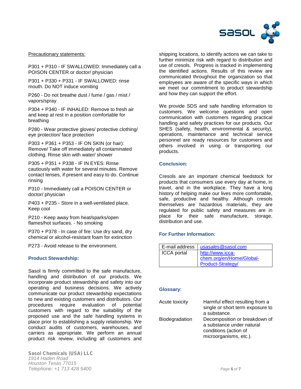

#### Precautionary statements:

P301 + P310 - IF SWALLOWED: Immediately call a POISON CENTER or doctor/ physician

P301 + P330 + P331 - IF SWALLOWED: rinse mouth. Do NOT induce vomiting

P260 - Do not breathe dust / fume / gas / mist / vapors/spray

P304 + P340 - IF INHALED: Remove to fresh air and keep at rest in a position comfortable for breathing

P280 - Wear protective gloves/ protective clothing/ eye protection/ face protection

P303 + P361 + P353 - IF ON SKIN (or hair): Remove/ Take off immediately all contaminated clothing. Rinse skin with water/ shower

P305 + P351 + P338 - IF IN EYES: Rinse cautiously with water for several minutes. Remove contact lenses, if present and easy to do. Continue rinsing

P310 - Immediately call a POISON CENTER or doctor/ physician

P403 + P235 - Store in a well-ventilated place. Keep cool

P210 - Keep away from heat/sparks/open flames/hot surfaces. - No smoking

P370 + P378 - In case of fire: Use dry sand, dry chemical or alcohol-resistant foam for extinction

P273 - Avoid release to the environment.

# **Product Stewardship:**

Sasol is firmly committed to the safe manufacture, handling and distribution of our products. We incorporate product stewardship and safety into our operating and business decisions. We actively communicate our product stewardship expectations to new and existing customers and distributors. Our procedures require evaluation of potential customers with regard to the suitability of the proposed use and the safe handling systems in place prior to establishing a supply relationship. We conduct audits of customers, warehouses, and carriers as appropriate. We perform an annual product risk review, including all customers and

*Sasol Chemicals (USA) LLC 1914 Haden Road Houston Texas 77015 Telephone: +1 713 428 5400 Page 6 of 7*

shipping locations, to identify actions we can take to further minimize risk with regard to distribution and use of cresols. Progress is tracked in implementing the identified actions. Results of this review are communicated throughout the organization so that employees are aware of the specific ways in which we meet our commitment to product stewardship and how they can support the effort.

We provide SDS and safe handling information to customers. We welcome questions and open communication with customers regarding practical handling and safety practices for our products. Our SHES (safety, health, environmental & security), operations, maintenance and technical service personnel are ready resources for customers and others involved in using or transporting our products.

#### **Conclusion:**

Cresols are an important chemical feedstock for products that consumers use every day at home, in travel, and in the workplace. They have a long history of helping make our lives more comfortable, safe, productive and healthy. Although cresols themselves are hazardous materials, they are regulated for public safety and measures are in place for their safe manufacture, storage, distribution and use.

# **For Further Information:**

| E-mail address     | usasales@sasol.com       |
|--------------------|--------------------------|
| <b>ICCA</b> portal | http://www.icca-         |
|                    | chem.org/en/Home/Global- |
|                    | Product-Strategy/        |

# **Glossary:**

| <b>Acute toxicity</b> | Harmful effect resulting from a<br>single or short term exposure to<br>a substance.                           |
|-----------------------|---------------------------------------------------------------------------------------------------------------|
| Biodegradation        | Decomposition or breakdown of<br>a substance under natural<br>conditions (action of<br>microorganisms, etc.). |